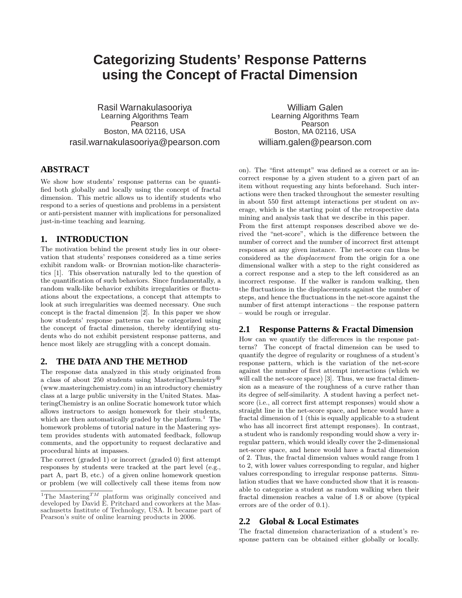# **Categorizing Students' Response Patterns using the Concept of Fractal Dimension**

Rasil Warnakulasooriya Learning Algorithms Team Pearson Boston, MA 02116, USA rasil.warnakulasooriya@pearson.com

## **ABSTRACT**

We show how students' response patterns can be quantified both globally and locally using the concept of fractal dimension. This metric allows us to identify students who respond to a series of questions and problems in a persistent or anti-persistent manner with implications for personalized just-in-time teaching and learning.

#### **1. INTRODUCTION**

The motivation behind the present study lies in our observation that students' responses considered as a time series exhibit random walk- or Brownian motion-like characteristics [1]. This observation naturally led to the question of the quantification of such behaviors. Since fundamentally, a random walk-like behavior exhibits irregularities or fluctuations about the expectations, a concept that attempts to look at such irregularities was deemed necessary. One such concept is the fractal dimension [2]. In this paper we show how students' response patterns can be categorized using the concept of fractal dimension, thereby identifying students who do not exhibit persistent response patterns, and hence most likely are struggling with a concept domain.

## **2. THE DATA AND THE METHOD**

The response data analyzed in this study originated from a class of about 250 students using MasteringChemistry<sup>®</sup> (www.masteringchemistry.com) in an introductory chemistry class at a large public university in the United States. MasteringChemistry is an online Socratic homework tutor which allows instructors to assign homework for their students, which are then automatically graded by the platform.<sup>1</sup> The homework problems of tutorial nature in the Mastering system provides students with automated feedback, followup comments, and the opportunity to request declarative and procedural hints at impasses.

The correct (graded 1) or incorrect (graded 0) first attempt responses by students were tracked at the part level (e.g., part A, part B, etc.) of a given online homework question or problem (we will collectively call these items from now

William Galen Learning Algorithms Team Pearson Boston, MA 02116, USA william.galen@pearson.com

on). The "first attempt" was defined as a correct or an incorrect response by a given student to a given part of an item without requesting any hints beforehand. Such interactions were then tracked throughout the semester resulting in about 550 first attempt interactions per student on average, which is the starting point of the retrospective data mining and analysis task that we describe in this paper.

From the first attempt responses described above we derived the "net-score", which is the difference between the number of correct and the number of incorrect first attempt responses at any given instance. The net-score can thus be considered as the displacement from the origin for a one dimensional walker with a step to the right considered as a correct response and a step to the left considered as an incorrect response. If the walker is random walking, then the fluctuations in the displacements against the number of steps, and hence the fluctuations in the net-score against the number of first attempt interactions – the response pattern – would be rough or irregular.

### **2.1 Response Patterns & Fractal Dimension**

How can we quantify the differences in the response patterns? The concept of fractal dimension can be used to quantify the degree of regularity or roughness of a student's response pattern, which is the variation of the net-score against the number of first attempt interactions (which we will call the net-score space) [3]. Thus, we use fractal dimension as a measure of the roughness of a curve rather than its degree of self-similarity. A student having a perfect netscore (i.e., all correct first attempt responses) would show a straight line in the net-score space, and hence would have a fractal dimension of 1 (this is equally applicable to a student who has all incorrect first attempt responses). In contrast, a student who is randomly responding would show a very irregular pattern, which would ideally cover the 2-dimensional net-score space, and hence would have a fractal dimension of 2. Thus, the fractal dimension values would range from 1 to 2, with lower values corresponding to regular, and higher values corresponding to irregular response patterns. Simulation studies that we have conducted show that it is reasonable to categorize a student as random walking when their fractal dimension reaches a value of 1.8 or above (typical errors are of the order of 0.1).

### **2.2 Global & Local Estimates**

The fractal dimension characterization of a student's response pattern can be obtained either globally or locally.

<sup>&</sup>lt;sup>1</sup>The Mastering<sup>TM</sup> platform was originally conceived and developed by David E. Pritchard and coworkers at the Massachusetts Institute of Technology, USA. It became part of Pearson's suite of online learning products in 2006.